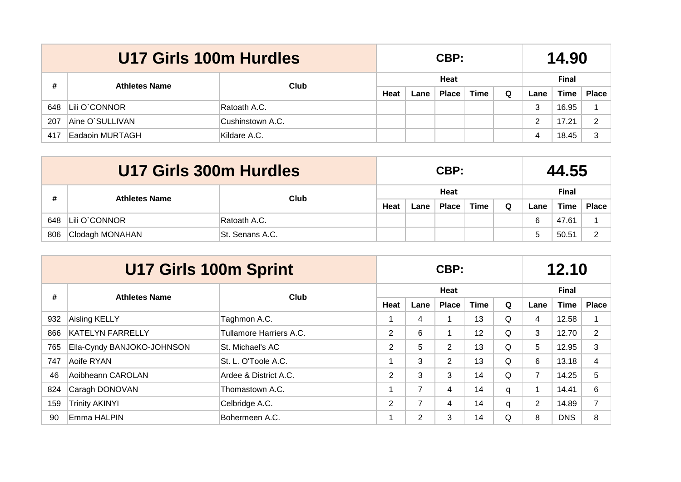|                                   | U17 Girls 100m Hurdles |                  |      |      | CBP:         |              |          | 14.90 |       |              |  |
|-----------------------------------|------------------------|------------------|------|------|--------------|--------------|----------|-------|-------|--------------|--|
| #<br>Club<br><b>Athletes Name</b> |                        |                  |      | Heat |              | <b>Final</b> |          |       |       |              |  |
|                                   |                        |                  | Heat | Lane | <b>Place</b> | Time         | $\Omega$ | Lane  | Time  | <b>Place</b> |  |
| 648                               | Lili O`CONNOR          | Ratoath A.C.     |      |      |              |              |          | 3     | 16.95 |              |  |
| 207                               | Aine O'SULLIVAN        | Cushinstown A.C. |      |      |              |              |          | ⌒     | 17.21 | 2            |  |
| 417                               | Eadaoin MURTAGH        | Kildare A.C.     |      |      |              |              |          |       | 18.45 | 3            |  |

|     | U17 Girls 300m Hurdles |                  |      |      | CBP:         |             | 44.55 |              |             |              |
|-----|------------------------|------------------|------|------|--------------|-------------|-------|--------------|-------------|--------------|
| #   | <b>Athletes Name</b>   | Club             |      |      | Heat         |             |       | <b>Final</b> |             |              |
|     |                        |                  | Heat | ∟ane | <b>Place</b> | <b>Time</b> | Q     | Lane         | <b>Time</b> | <b>Place</b> |
| 648 | Lili O`CONNOR          | Ratoath A.C.     |      |      |              |             |       | 6            | 47.61       |              |
| 806 | Clodagh MONAHAN        | ISt. Senans A.C. |      |      |              |             |       | 5            | 50.51       | $\Omega$     |

|     | <b>U17 Girls 100m Sprint</b> |                         | CBP:           |      |                |             |          |                | 12.10       |                 |  |  |
|-----|------------------------------|-------------------------|----------------|------|----------------|-------------|----------|----------------|-------------|-----------------|--|--|
| #   | <b>Athletes Name</b>         | Club                    |                |      | Heat           |             |          | <b>Final</b>   |             |                 |  |  |
|     |                              |                         | Heat           | Lane | <b>Place</b>   | <b>Time</b> | $\Omega$ | Lane           | <b>Time</b> | <b>Place</b>    |  |  |
| 932 | <b>Aisling KELLY</b>         | Taghmon A.C.            |                | 4    |                | 13          | Q        | 4              | 12.58       |                 |  |  |
| 866 | <b>KATELYN FARRELLY</b>      | Tullamore Harriers A.C. | 2              | 6    |                | 12          | Q        | 3              | 12.70       | $\overline{2}$  |  |  |
| 765 | Ella-Cyndy BANJOKO-JOHNSON   | St. Michael's AC        | $\overline{2}$ | 5    | 2              | 13          | Q        | 5              | 12.95       | 3               |  |  |
| 747 | Aoife RYAN                   | St. L. O'Toole A.C.     |                | 3    | $\overline{2}$ | 13          | Q        | 6              | 13.18       | $\overline{4}$  |  |  |
| 46  | Aoibheann CAROLAN            | Ardee & District A.C.   | $\overline{2}$ | 3    | 3              | 14          | Q        | $\overline{7}$ | 14.25       | 5               |  |  |
| 824 | Caragh DONOVAN               | Thomastown A.C.         |                | 7    | 4              | 14          | q        |                | 14.41       | $6\phantom{1}6$ |  |  |
| 159 | <b>Trinity AKINYI</b>        | Celbridge A.C.          | $\overline{2}$ | 7    | 4              | 14          | q        | $\overline{2}$ | 14.89       | 7               |  |  |
| 90  | Emma HALPIN                  | Bohermeen A.C.          |                | 2    | 3              | 14          | Q        | 8              | <b>DNS</b>  | 8               |  |  |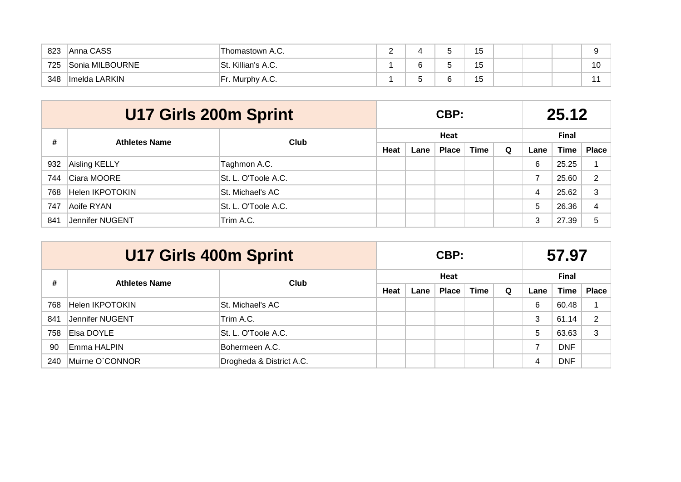| 823 | Anna CASS       | 'Thomastown A.C.             | - | ີ | ט ו |  |    |
|-----|-----------------|------------------------------|---|---|-----|--|----|
| 725 | Sonia MILBOURNE | St. Killian's A.C.           |   | w | 15  |  | 10 |
| 348 | Imelda LARKIN   | <sup>I</sup> Fr. Murphy A.C. |   |   | 15  |  |    |

|     |                      | U17 Girls 200m Sprint |      |      | CBP:         |      |              | 25.12 |             |              |  |
|-----|----------------------|-----------------------|------|------|--------------|------|--------------|-------|-------------|--------------|--|
| #   | <b>Athletes Name</b> | Club                  | Heat |      |              |      | <b>Final</b> |       |             |              |  |
|     |                      |                       | Heat | Lane | <b>Place</b> | Time | Q            | Lane  | <b>Time</b> | <b>Place</b> |  |
| 932 | Aisling KELLY        | Taghmon A.C.          |      |      |              |      |              | 6     | 25.25       |              |  |
| 744 | Ciara MOORE          | St. L. O'Toole A.C.   |      |      |              |      |              | ⇁     | 25.60       | 2            |  |
| 768 | Helen IKPOTOKIN      | St. Michael's AC      |      |      |              |      |              | 4     | 25.62       | 3            |  |
| 747 | Aoife RYAN           | St. L. O'Toole A.C.   |      |      |              |      |              | 5     | 26.36       | 4            |  |
| 841 | Jennifer NUGENT      | Trim A.C.             |      |      |              |      |              | 3     | 27.39       | 5            |  |

|     | U17 Girls 400m Sprint |                          |      |      | CBP:         |      |   | 57.97 |            |              |  |
|-----|-----------------------|--------------------------|------|------|--------------|------|---|-------|------------|--------------|--|
| #   | <b>Athletes Name</b>  | Club                     | Heat |      |              |      |   | Final |            |              |  |
|     |                       |                          | Heat | Lane | <b>Place</b> | Time | Q | Lane  | Time       | <b>Place</b> |  |
| 768 | Helen IKPOTOKIN       | St. Michael's AC         |      |      |              |      |   | 6     | 60.48      |              |  |
| 841 | Jennifer NUGENT       | Trim A.C.                |      |      |              |      |   | 3     | 61.14      | 2            |  |
| 758 | Elsa DOYLE            | St. L. O'Toole A.C.      |      |      |              |      |   | 5     | 63.63      | 3            |  |
| 90  | Emma HALPIN           | Bohermeen A.C.           |      |      |              |      |   |       | <b>DNF</b> |              |  |
| 240 | Muirne O'CONNOR       | Drogheda & District A.C. |      |      |              |      |   | 4     | <b>DNF</b> |              |  |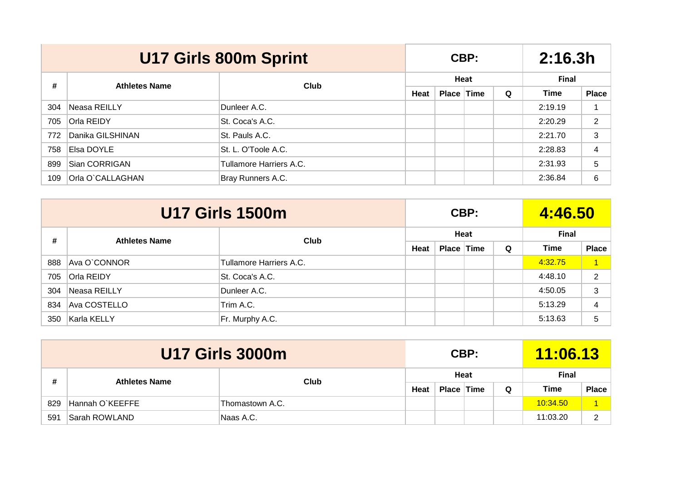|     |                      | <b>U17 Girls 800m Sprint</b> |      |            | CBP: |              | 2:16.3h |              |  |
|-----|----------------------|------------------------------|------|------------|------|--------------|---------|--------------|--|
| #   | <b>Athletes Name</b> | Club                         | Heat |            |      | <b>Final</b> |         |              |  |
|     |                      |                              | Heat | Place Time |      | Q            | Time    | <b>Place</b> |  |
| 304 | Neasa REILLY         | Dunleer A.C.                 |      |            |      |              | 2:19.19 |              |  |
| 705 | Orla REIDY           | St. Coca's A.C.              |      |            |      |              | 2:20.29 | 2            |  |
| 772 | Danika GILSHINAN     | St. Pauls A.C.               |      |            |      |              | 2:21.70 | 3            |  |
| 758 | Elsa DOYLE           | St. L. O'Toole A.C.          |      |            |      |              | 2:28.83 | 4            |  |
| 899 | Sian CORRIGAN        | Tullamore Harriers A.C.      |      |            |      |              | 2:31.93 | 5            |  |
| 109 | Orla O'CALLAGHAN     | Bray Runners A.C.            |      |            |      |              | 2:36.84 | 6            |  |

|     |                      | <b>U17 Girls 1500m</b>  |                    |  | CBP: |   | 4:46.50     |                |  |
|-----|----------------------|-------------------------|--------------------|--|------|---|-------------|----------------|--|
|     | <b>Athletes Name</b> |                         | Heat<br>Place Time |  |      |   | Final       |                |  |
| #   |                      | Club                    | Heat               |  |      | Q | <b>Time</b> | <b>Place</b>   |  |
| 888 | Ava O`CONNOR         | Tullamore Harriers A.C. |                    |  |      |   | 4:32.75     | $\overline{1}$ |  |
| 705 | Orla REIDY           | St. Coca's A.C.         |                    |  |      |   | 4:48.10     | 2              |  |
| 304 | Neasa REILLY         | Dunleer A.C.            |                    |  |      |   | 4:50.05     | 3              |  |
| 834 | Ava COSTELLO         | Trim A.C.               |                    |  |      |   | 5:13.29     | 4              |  |
| 350 | Karla KELLY          | Fr. Murphy A.C.         |                    |  |      |   | 5:13.63     | 5              |  |

|     |                              | <b>U17 Girls 3000m</b> |      |            | CBP: | <u> 11:06.13</u> |             |              |
|-----|------------------------------|------------------------|------|------------|------|------------------|-------------|--------------|
|     | Club<br><b>Athletes Name</b> |                        |      | Heat       |      | <b>Final</b>     |             |              |
| #   |                              |                        | Heat | Place Time |      | Q                | <b>Time</b> | <b>Place</b> |
| 829 | Hannah O`KEEFFE              | Thomastown A.C.        |      |            |      |                  | 10:34.50    |              |
| 591 | Sarah ROWLAND                | Naas A.C.              |      |            |      |                  | 11:03.20    | ົ            |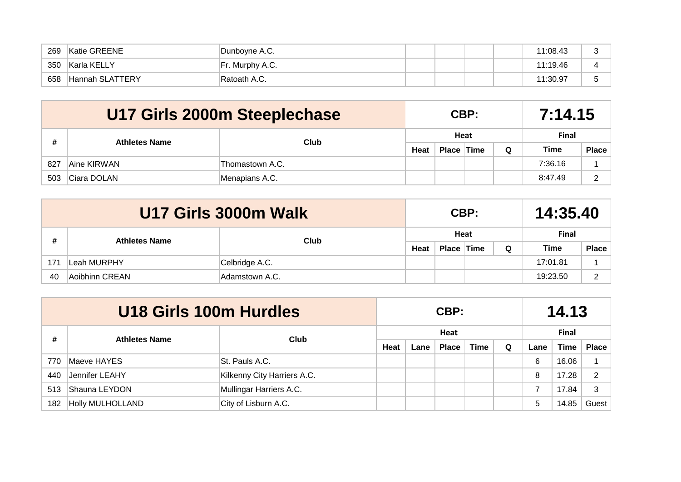| 269 | Katie GREENE    | Dunboyne A.C.      |  |  | 11:08.43 |  |
|-----|-----------------|--------------------|--|--|----------|--|
| 350 | Karla KELLY     | $ Fr.$ Murphy A.C. |  |  | 11:19.46 |  |
| 658 | Hannah SLATTERY | 'Ratoath A.C.      |  |  | 11:30.97 |  |

|     |                      | U17 Girls 2000m Steeplechase |             |            | CBP: |   | 7:14.15      |              |  |
|-----|----------------------|------------------------------|-------------|------------|------|---|--------------|--------------|--|
| #   |                      | Club                         |             |            | Heat |   | <b>Final</b> |              |  |
|     | <b>Athletes Name</b> |                              | <b>Heat</b> | Place Time |      | Q | <b>Time</b>  | <b>Place</b> |  |
| 827 | Aine KIRWAN          | Thomastown A.C.              |             |            |      |   | 7:36.16      |              |  |
| 503 | Ciara DOLAN          | Menapians A.C.               |             |            |      |   | 8:47.49      | ົ            |  |

|     |                                   | U17 Girls 3000m Walk |      |            | CBP: |              | 14:35.40    |              |  |
|-----|-----------------------------------|----------------------|------|------------|------|--------------|-------------|--------------|--|
|     | #<br>Club<br><b>Athletes Name</b> | Heat                 |      |            |      | <b>Final</b> |             |              |  |
|     |                                   |                      | Heat | Place Time |      | Q            | <b>Time</b> | <b>Place</b> |  |
| 171 | Leah MURPHY                       | Celbridge A.C.       |      |            |      |              | 17:01.81    |              |  |
| 40  | Aoibhinn CREAN                    | Adamstown A.C.       |      |            |      |              | 19:23.50    | ົ            |  |

|     | U18 Girls 100m Hurdles  |                             |      |                 |              | 14.13       |              |      |       |              |  |
|-----|-------------------------|-----------------------------|------|-----------------|--------------|-------------|--------------|------|-------|--------------|--|
| #   | <b>Athletes Name</b>    | Club                        |      |                 | Heat         |             | <b>Final</b> |      |       |              |  |
|     |                         |                             | Heat | $\mathsf{Lane}$ | <b>Place</b> | <b>Time</b> | Q            | Lane | Time  | <b>Place</b> |  |
| 770 | Maeve HAYES             | St. Pauls A.C.              |      |                 |              |             |              | 6    | 16.06 |              |  |
| 440 | Jennifer LEAHY          | Kilkenny City Harriers A.C. |      |                 |              |             |              | 8    | 17.28 | 2            |  |
| 513 | Shauna LEYDON           | Mullingar Harriers A.C.     |      |                 |              |             |              | ⇁    | 17.84 | 3            |  |
| 182 | <b>Holly MULHOLLAND</b> | City of Lisburn A.C.        |      |                 |              |             |              | 5    | 14.85 | Guest        |  |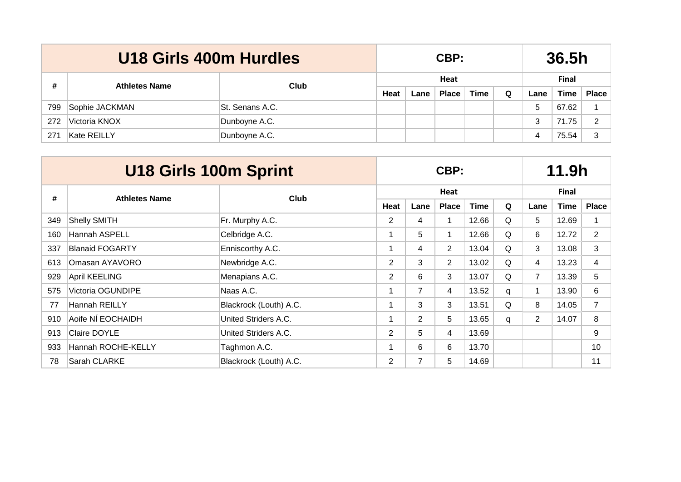|     | U18 Girls 400m Hurdles |                 |      |      | 36.5h        |             |              |      |             |              |
|-----|------------------------|-----------------|------|------|--------------|-------------|--------------|------|-------------|--------------|
| #   | <b>Athletes Name</b>   | Club            |      |      | Heat         |             | <b>Final</b> |      |             |              |
|     |                        |                 | Heat | Lane | <b>Place</b> | <b>Time</b> | Q            | Lane | <b>Time</b> | <b>Place</b> |
| 799 | Sophie JACKMAN         | St. Senans A.C. |      |      |              |             |              | 5    | 67.62       |              |
| 272 | Victoria KNOX          | Dunboyne A.C.   |      |      |              |             |              | 3    | 71.75       | 2            |
| 271 | Kate REILLY            | Dunboyne A.C.   |      |      |              |             |              | 4    | 75.54       | 3            |

|     | U18 Girls 100m Sprint  |                        |                |                | CBP:           |       | 11.9h |                |              |                |  |
|-----|------------------------|------------------------|----------------|----------------|----------------|-------|-------|----------------|--------------|----------------|--|
| #   | <b>Athletes Name</b>   | Club                   |                |                | Heat           |       |       |                | <b>Final</b> |                |  |
|     |                        |                        | Heat           | Lane           | <b>Place</b>   | Time  | Q     | Lane           | <b>Time</b>  | <b>Place</b>   |  |
| 349 | Shelly SMITH           | Fr. Murphy A.C.        | $\overline{2}$ | 4              | 1              | 12.66 | Q     | 5              | 12.69        |                |  |
| 160 | Hannah ASPELL          | Celbridge A.C.         |                | 5              | 1              | 12.66 | Q     | 6              | 12.72        | $\overline{2}$ |  |
| 337 | <b>Blanaid FOGARTY</b> | Enniscorthy A.C.       |                | 4              | $\overline{2}$ | 13.04 | Q     | 3              | 13.08        | 3              |  |
| 613 | Omasan AYAVORO         | Newbridge A.C.         | $\overline{2}$ | 3              | $\overline{2}$ | 13.02 | Q     | 4              | 13.23        | 4              |  |
| 929 | April KEELING          | Menapians A.C.         | $\overline{2}$ | 6              | 3              | 13.07 | Q     | $\overline{7}$ | 13.39        | 5              |  |
| 575 | Victoria OGUNDIPE      | Naas A.C.              |                | $\overline{7}$ | 4              | 13.52 | q     | 1              | 13.90        | 6              |  |
| 77  | Hannah REILLY          | Blackrock (Louth) A.C. |                | 3              | 3              | 13.51 | Q     | 8              | 14.05        | $\overline{7}$ |  |
| 910 | Aoife NÍ EOCHAIDH      | United Striders A.C.   |                | $\overline{2}$ | 5              | 13.65 | q     | $\overline{2}$ | 14.07        | 8              |  |
| 913 | Claire DOYLE           | United Striders A.C.   | $\overline{2}$ | 5              | 4              | 13.69 |       |                |              | 9              |  |
| 933 | Hannah ROCHE-KELLY     | Taghmon A.C.           |                | 6              | 6              | 13.70 |       |                |              | 10             |  |
| 78  | Sarah CLARKE           | Blackrock (Louth) A.C. | 2              | 7              | 5              | 14.69 |       |                |              | 11             |  |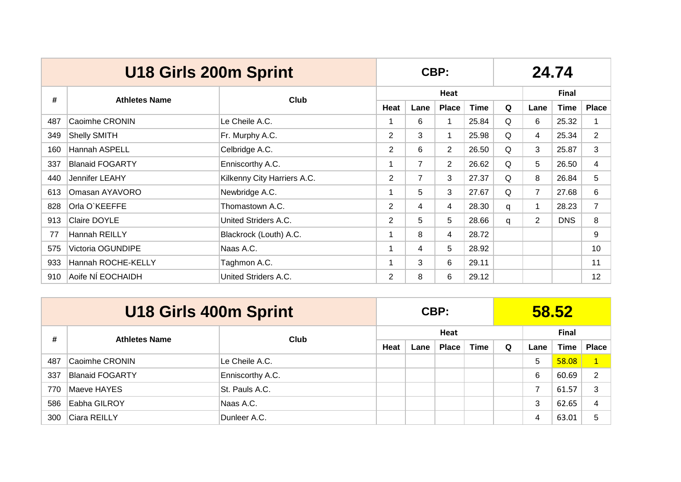|     | U18 Girls 200m Sprint  |                             | CBP:           |                |                |       |   | 24.74          |             |                |  |  |  |
|-----|------------------------|-----------------------------|----------------|----------------|----------------|-------|---|----------------|-------------|----------------|--|--|--|
| #   | <b>Athletes Name</b>   | <b>Club</b>                 |                |                | Heat           |       |   |                | Final       |                |  |  |  |
|     |                        |                             | Heat           | Lane           | <b>Place</b>   | Time  | Q | Lane           | <b>Time</b> | <b>Place</b>   |  |  |  |
| 487 | Caoimhe CRONIN         | Le Cheile A.C.              |                | 6              |                | 25.84 | Q | 6              | 25.32       | 1              |  |  |  |
| 349 | <b>Shelly SMITH</b>    | Fr. Murphy A.C.             | $\overline{2}$ | 3              |                | 25.98 | Q | 4              | 25.34       | 2              |  |  |  |
| 160 | <b>Hannah ASPELL</b>   | Celbridge A.C.              | $\overline{2}$ | 6              | $\overline{2}$ | 26.50 | Q | 3              | 25.87       | 3              |  |  |  |
| 337 | <b>Blanaid FOGARTY</b> | Enniscorthy A.C.            | 1              | 7              | $\overline{2}$ | 26.62 | Q | 5              | 26.50       | 4              |  |  |  |
| 440 | Jennifer LEAHY         | Kilkenny City Harriers A.C. | $\overline{2}$ | $\overline{7}$ | 3              | 27.37 | Q | 8              | 26.84       | 5              |  |  |  |
| 613 | Omasan AYAVORO         | Newbridge A.C.              | 1              | 5              | 3              | 27.67 | Q | $\overline{7}$ | 27.68       | 6              |  |  |  |
| 828 | Orla O`KEEFFE          | Thomastown A.C.             | $\overline{2}$ | 4              | 4              | 28.30 | q | $\mathbf 1$    | 28.23       | $\overline{7}$ |  |  |  |
| 913 | Claire DOYLE           | United Striders A.C.        | $\overline{2}$ | 5.             | 5              | 28.66 | q | $\overline{2}$ | <b>DNS</b>  | 8              |  |  |  |
| 77  | <b>Hannah REILLY</b>   | Blackrock (Louth) A.C.      |                | 8              | 4              | 28.72 |   |                |             | 9              |  |  |  |
| 575 | Victoria OGUNDIPE      | Naas A.C.                   | 1              | 4              | 5              | 28.92 |   |                |             | 10             |  |  |  |
| 933 | Hannah ROCHE-KELLY     | Taghmon A.C.                |                | 3              | 6              | 29.11 |   |                |             | 11             |  |  |  |
| 910 | Aoife NÍ EOCHAIDH      | United Striders A.C.        | 2              | 8              | 6              | 29.12 |   |                |             | 12             |  |  |  |

|     | <b>U18 Girls 400m Sprint</b> |                  |      |                 | CBP:  |             | 58.52 |       |             |                |  |  |
|-----|------------------------------|------------------|------|-----------------|-------|-------------|-------|-------|-------------|----------------|--|--|
| #   | <b>Athletes Name</b>         | Club             |      |                 | Heat  |             |       | Final |             |                |  |  |
|     |                              |                  | Heat | $\mathsf{Lane}$ | Place | <b>Time</b> | Q     | Lane  | <b>Time</b> | <b>Place</b>   |  |  |
| 487 | Caoimhe CRONIN               | Le Cheile A.C.   |      |                 |       |             |       | 5     | 58.08       |                |  |  |
| 337 | Blanaid FOGARTY              | Enniscorthy A.C. |      |                 |       |             |       | 6     | 60.69       | $\overline{2}$ |  |  |
| 770 | Maeve HAYES                  | St. Pauls A.C.   |      |                 |       |             |       |       | 61.57       | 3              |  |  |
| 586 | Eabha GILROY                 | Naas A.C.        |      |                 |       |             |       | 3     | 62.65       | 4              |  |  |
| 300 | Ciara REILLY                 | Dunleer A.C.     |      |                 |       |             |       |       | 63.01       | 5              |  |  |

 $\sim$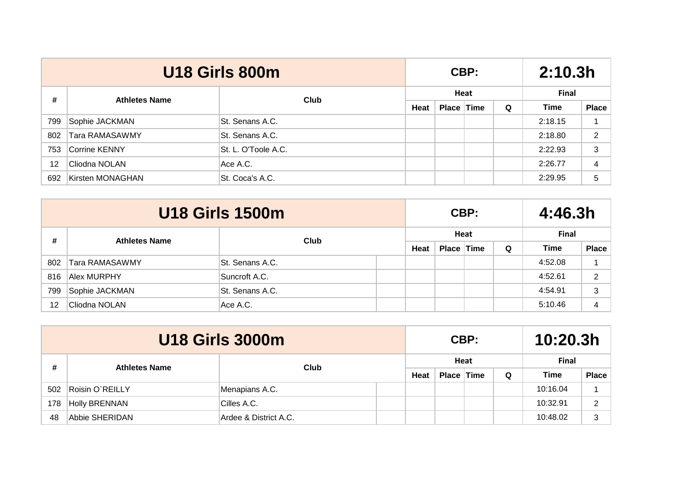|     | <b>U18 Girls 800m</b> |                     |      |            | CBP: |   | 2:10.3h      |              |  |
|-----|-----------------------|---------------------|------|------------|------|---|--------------|--------------|--|
| #   | <b>Athletes Name</b>  | Club                |      |            | Heat |   | <b>Final</b> |              |  |
|     |                       |                     | Heat | Place Time |      | Q | <b>Time</b>  | <b>Place</b> |  |
| 799 | Sophie JACKMAN        | St. Senans A.C.     |      |            |      |   | 2:18.15      |              |  |
| 802 | <b>Tara RAMASAWMY</b> | St. Senans A.C.     |      |            |      |   | 2:18.80      | 2            |  |
| 753 | Corrine KENNY         | St. L. O'Toole A.C. |      |            |      |   | 2:22.93      | 3            |  |
| 12  | Cliodna NOLAN         | Ace A.C.            |      |            |      |   | 2:26.77      | 4            |  |
| 692 | Kirsten MONAGHAN      | St. Coca's A.C.     |      |            |      |   | 2:29.95      | 5            |  |

|     | <b>U18 Girls 1500m</b>            |                 |      |            | CBP: |   | 4:46.3h      |                |  |
|-----|-----------------------------------|-----------------|------|------------|------|---|--------------|----------------|--|
|     | #<br>Club<br><b>Athletes Name</b> |                 |      |            | Heat |   | <b>Final</b> |                |  |
|     |                                   |                 | Heat | Place Time |      | Q | <b>Time</b>  | <b>Place</b>   |  |
| 802 | Tara RAMASAWMY                    | St. Senans A.C. |      |            |      |   | 4:52.08      |                |  |
| 816 | Alex MURPHY                       | Suncroft A.C.   |      |            |      |   | 4:52.61      | 2              |  |
| 799 | Sophie JACKMAN                    | St. Senans A.C. |      |            |      |   | 4:54.91      | 3              |  |
| 12  | Cliodna NOLAN                     | Ace A.C.        |      |            |      |   | 5:10.46      | $\overline{4}$ |  |

|     | <b>U18 Girls 3000m</b>            |                       |      |            |      | CBP: |              | 10:20.3h     |   |  |
|-----|-----------------------------------|-----------------------|------|------------|------|------|--------------|--------------|---|--|
|     | #<br>Club<br><b>Athletes Name</b> |                       |      |            | Heat |      | <b>Final</b> |              |   |  |
|     |                                   |                       | Heat | Place Time |      | Q    | <b>Time</b>  | <b>Place</b> |   |  |
| 502 | Roisin O'REILLY                   | Menapians A.C.        |      |            |      |      |              | 10:16.04     |   |  |
| 178 | Holly BRENNAN                     | Cilles A.C.           |      |            |      |      |              | 10:32.91     | 2 |  |
| 48  | Abbie SHERIDAN                    | Ardee & District A.C. |      |            |      |      |              | 10:48.02     | 3 |  |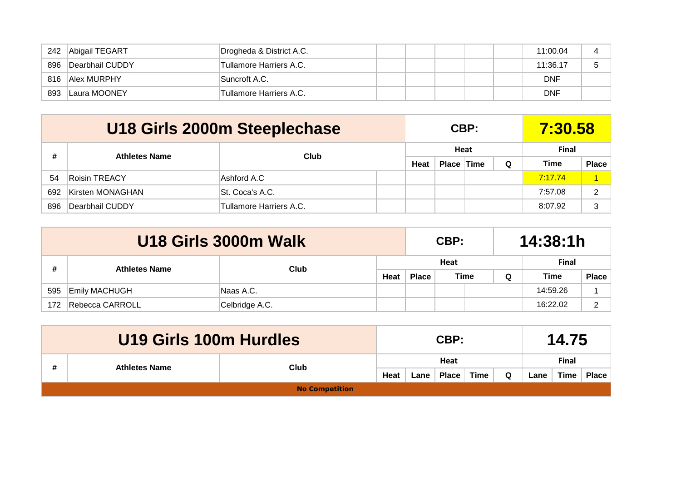| 242 | Abigail TEGART  | Drogheda & District A.C. |  |  | 11:00.04   |  |
|-----|-----------------|--------------------------|--|--|------------|--|
| 896 | Dearbhail CUDDY | Tullamore Harriers A.C.  |  |  | 11:36.17   |  |
| 816 | Alex MURPHY     | Suncroft A.C.            |  |  | <b>DNF</b> |  |
| 893 | Laura MOONEY    | Tullamore Harriers A.C.  |  |  | DNF        |  |

|     | U18 Girls 2000m Steeplechase |                         |  |      |            | CBP: | <u>7:30.58</u> |              |              |
|-----|------------------------------|-------------------------|--|------|------------|------|----------------|--------------|--------------|
|     |                              |                         |  |      |            | Heat |                | <b>Final</b> |              |
| #   | Club<br><b>Athletes Name</b> |                         |  | Heat | Place Time |      | Q              | <b>Time</b>  | <b>Place</b> |
| 54  | Roisin TREACY                | Ashford A.C             |  |      |            |      |                | 7:17.74      |              |
| 692 | Kirsten MONAGHAN             | St. Coca's A.C.         |  |      |            |      |                | 7:57.08      | っ            |
| 896 | Dearbhail CUDDY              | Tullamore Harriers A.C. |  |      |            |      |                | 8:07.92      | 3            |

|     | U18 Girls 3000m Walk         |                |  |              | CBP: |      | 14:38:1h     |             |              |  |  |
|-----|------------------------------|----------------|--|--------------|------|------|--------------|-------------|--------------|--|--|
|     | Club<br><b>Athletes Name</b> |                |  | Heat         |      |      | <b>Final</b> |             |              |  |  |
|     |                              | Heat           |  | <b>Place</b> |      | Time | Q            | <b>Time</b> | <b>Place</b> |  |  |
| 595 | <b>Emily MACHUGH</b>         | Naas A.C.      |  |              |      |      |              | 14:59.26    |              |  |  |
| 172 | Rebecca CARROLL              | Celbridge A.C. |  |              |      |      |              | 16:22.02    | ົ            |  |  |

|   | U19 Girls 100m Hurdles       |  |      |      | CBP:         |      |              | 14.75 |      |       |
|---|------------------------------|--|------|------|--------------|------|--------------|-------|------|-------|
| # | Club<br><b>Athletes Name</b> |  |      |      | Heat         |      | <b>Final</b> |       |      |       |
|   |                              |  | Heat | Lane | $Place \mid$ | Time | $\Omega$     | Lane  | Time | Place |
|   |                              |  |      |      |              |      |              |       |      |       |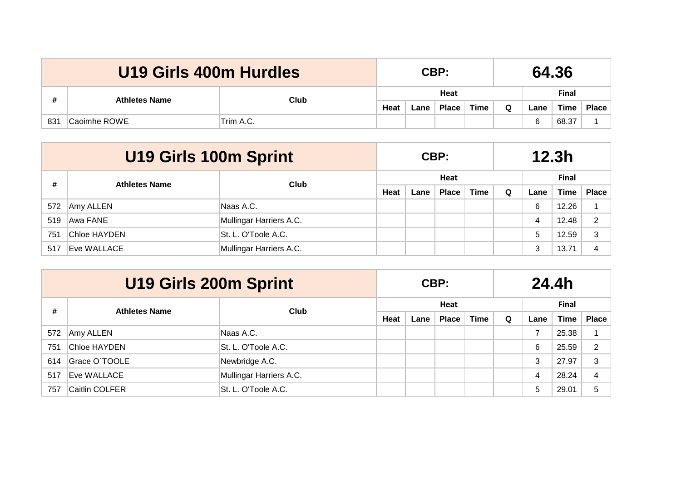|     | U19 Girls 400m Hurdles |           |  |      | CBP:         |       | 64.36        |      |       |              |  |
|-----|------------------------|-----------|--|------|--------------|-------|--------------|------|-------|--------------|--|
| x.  |                        |           |  |      | Heat         |       | <b>Final</b> |      |       |              |  |
|     | <b>Athletes Name</b>   | Club      |  | Lane | <b>Place</b> | Time, | Q            | ∟ane | Time  | <b>Place</b> |  |
| 831 | 'Caoimhe ROWE          | Trim A.C. |  |      |              |       |              | ี    | 68.37 |              |  |

|     | <b>U19 Girls 100m Sprint</b> |                         |      |      | CBP:         |             | 12.3 <sub>h</sub> |              |             |       |  |  |
|-----|------------------------------|-------------------------|------|------|--------------|-------------|-------------------|--------------|-------------|-------|--|--|
| #   | <b>Athletes Name</b>         | Club                    |      |      | Heat         |             |                   | <b>Final</b> |             |       |  |  |
|     |                              |                         | Heat | Lane | <b>Place</b> | <b>Time</b> | Q                 | Lane         | <b>Time</b> | Place |  |  |
| 572 | Amy ALLEN                    | Naas A.C.               |      |      |              |             |                   | 6            | 12.26       |       |  |  |
| 519 | Awa FANE                     | Mullingar Harriers A.C. |      |      |              |             |                   |              | 12.48       |       |  |  |
| 751 | Chloe HAYDEN                 | St. L. O'Toole A.C.     |      |      |              |             |                   | 5            | 12.59       | 3     |  |  |
| 517 | Eve WALLACE                  | Mullingar Harriers A.C. |      |      |              |             |                   | 3            | 13.71       |       |  |  |

|     |                       | <b>U19 Girls 200m Sprint</b> |      |      | CBP:         |             | 24.4h    |                |             |              |  |  |
|-----|-----------------------|------------------------------|------|------|--------------|-------------|----------|----------------|-------------|--------------|--|--|
| #   | <b>Athletes Name</b>  | Club                         |      |      | Heat         |             |          | <b>Final</b>   |             |              |  |  |
|     |                       |                              | Heat | Lane | <b>Place</b> | <b>Time</b> | $\Omega$ | Lane           | <b>Time</b> | <b>Place</b> |  |  |
| 572 | Amy ALLEN             | Naas A.C.                    |      |      |              |             |          |                | 25.38       |              |  |  |
| 751 | Chloe HAYDEN          | St. L. O'Toole A.C.          |      |      |              |             |          | 6              | 25.59       | 2            |  |  |
| 614 | Grace O'TOOLE         | Newbridge A.C.               |      |      |              |             |          | 3              | 27.97       | 3            |  |  |
| 517 | Eve WALLACE           | Mullingar Harriers A.C.      |      |      |              |             |          | $\overline{4}$ | 28.24       | 4            |  |  |
| 757 | <b>Caitlin COLFER</b> | St. L. O'Toole A.C.          |      |      |              |             |          | 5              | 29.01       | 5            |  |  |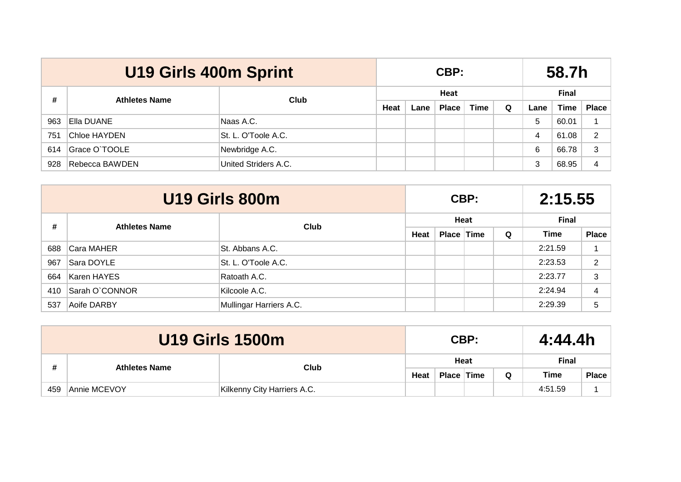|     | <b>U19 Girls 400m Sprint</b> |                      |              |              | CBP: |   |      |              | 58.7h        |                |
|-----|------------------------------|----------------------|--------------|--------------|------|---|------|--------------|--------------|----------------|
| #   | <b>Athletes Name</b>         | Club                 |              |              | Heat |   |      | <b>Final</b> |              |                |
|     |                              |                      | Heat<br>Lane | <b>Place</b> | Time | Q | Lane | <b>Time</b>  | <b>Place</b> |                |
| 963 | Ella DUANE                   | Naas A.C.            |              |              |      |   |      | 5            | 60.01        |                |
| 751 | Chloe HAYDEN                 | St. L. O'Toole A.C.  |              |              |      |   |      | 4            | 61.08        | $\overline{2}$ |
| 614 | Grace O'TOOLE                | Newbridge A.C.       |              |              |      |   |      | 6            | 66.78        | 3              |
| 928 | Rebecca BAWDEN               | United Striders A.C. |              |              |      |   |      | 3            | 68.95        | 4              |

|     | U19 Girls 800m       |                         |      |            | CBP: |   | 2:15.55      |                |
|-----|----------------------|-------------------------|------|------------|------|---|--------------|----------------|
| #   | <b>Athletes Name</b> | <b>Club</b>             |      |            | Heat |   | <b>Final</b> |                |
|     |                      |                         | Heat | Place Time |      | Q | <b>Time</b>  | <b>Place</b>   |
| 688 | Cara MAHER           | St. Abbans A.C.         |      |            |      |   | 2:21.59      |                |
| 967 | Sara DOYLE           | St. L. O'Toole A.C.     |      |            |      |   | 2:23.53      | $\overline{2}$ |
| 664 | Karen HAYES          | Ratoath A.C.            |      |            |      |   | 2:23.77      | 3              |
| 410 | Sarah O`CONNOR       | Kilcoole A.C.           |      |            |      |   | 2:24.94      | 4              |
| 537 | Aoife DARBY          | Mullingar Harriers A.C. |      |            |      |   | 2:29.39      | 5              |

|     |                      | <b>U19 Girls 1500m</b>      |      |            | CBP: | 4:44.4h |              |              |  |
|-----|----------------------|-----------------------------|------|------------|------|---------|--------------|--------------|--|
|     |                      | <b>Club</b>                 |      |            | Heat |         | <b>Final</b> |              |  |
|     | <b>Athletes Name</b> |                             | Heat | Place Time |      | Q       | <b>Time</b>  | <b>Place</b> |  |
| 459 | Annie MCEVOY         | Kilkenny City Harriers A.C. |      |            |      |         | 4:51.59      |              |  |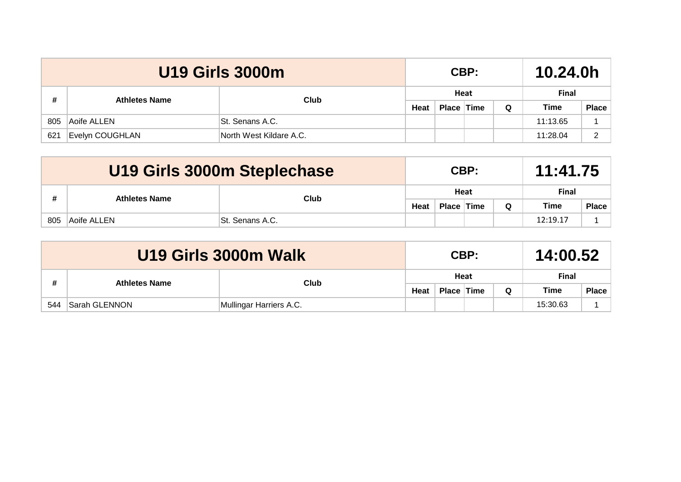|     |                      | <b>U19 Girls 3000m</b>  |      |            | CBP: | 10.24.0h |              |              |  |
|-----|----------------------|-------------------------|------|------------|------|----------|--------------|--------------|--|
| #   |                      | Club                    | Heat |            |      |          | <b>Final</b> |              |  |
|     | <b>Athletes Name</b> |                         | Heat | Place Time |      | Q        | <b>Time</b>  | <b>Place</b> |  |
| 805 | Aoife ALLEN          | ISt. Senans A.C.        |      |            |      |          | 11:13.65     |              |  |
| 621 | Evelyn COUGHLAN      | North West Kildare A.C. |      |            |      |          | 11:28.04     |              |  |

|     | U19 Girls 3000m Steplechase |                 |      |            | CBP: | 11:41.75 |              |              |  |
|-----|-----------------------------|-----------------|------|------------|------|----------|--------------|--------------|--|
|     | <b>Athletes Name</b>        | Club            |      | Heat       |      |          | <b>Final</b> |              |  |
|     |                             |                 | Heat | Place Time |      | Q        | <b>Time</b>  | <b>Place</b> |  |
| 805 | Aoife ALLEN                 | St. Senans A.C. |      |            |      | 12:19.17 |              |              |  |

|     |               | U19 Girls 3000m Walk         |  |            | CBP: |   | 14:00.52    |              |  |  |
|-----|---------------|------------------------------|--|------------|------|---|-------------|--------------|--|--|
|     |               |                              |  |            | Heat |   | Final       |              |  |  |
|     |               | Club<br><b>Athletes Name</b> |  | Place Time |      | Q | <b>Time</b> | <b>Place</b> |  |  |
| 544 | Sarah GLENNON | Mullingar Harriers A.C.      |  |            |      |   | 15:30.63    |              |  |  |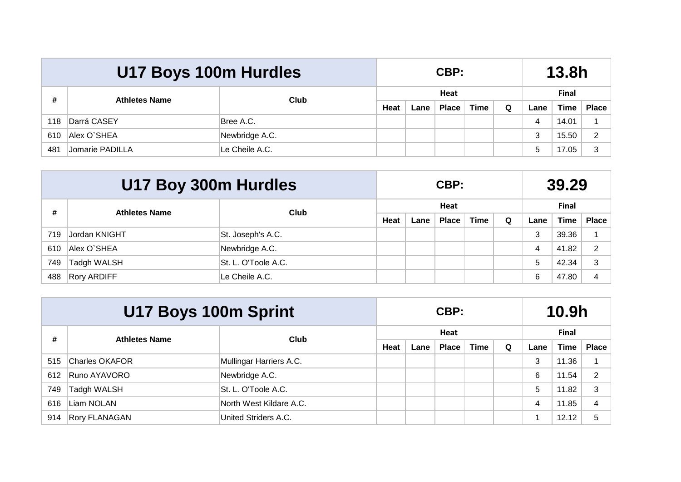|     | U17 Boys 100m Hurdles |                |      |      | CBP:          |      |              | 13.8h |             |              |  |
|-----|-----------------------|----------------|------|------|---------------|------|--------------|-------|-------------|--------------|--|
| #   | <b>Athletes Name</b>  | Club           |      |      | Heat          |      | <b>Final</b> |       |             |              |  |
|     |                       |                | Heat | Lane | Place $\vert$ | Time | Q            | Lane  | <b>Time</b> | <b>Place</b> |  |
| 118 | Darrá CASEY           | Bree A.C.      |      |      |               |      |              |       | 14.01       |              |  |
| 610 | Alex O`SHEA           | Newbridge A.C. |      |      |               |      |              | 3     | 15.50       | 2            |  |
| 481 | Jomarie PADILLA       | Le Cheile A.C. |      |      |               |      |              | 5     | 17.05       | 3            |  |

|     | U17 Boy 300m Hurdles      |                     |      |      | CBP:         |             |              |      |             |              |  |  |
|-----|---------------------------|---------------------|------|------|--------------|-------------|--------------|------|-------------|--------------|--|--|
|     | #<br><b>Athletes Name</b> | Club                |      |      | Heat         |             | <b>Final</b> |      |             |              |  |  |
|     |                           |                     | Heat | Lane | <b>Place</b> | <b>Time</b> | Q            | Lane | <b>Time</b> | <b>Place</b> |  |  |
| 719 | Jordan KNIGHT             | St. Joseph's A.C.   |      |      |              |             |              | 3    | 39.36       |              |  |  |
| 610 | Alex O'SHEA               | Newbridge A.C.      |      |      |              |             |              | 4    | 41.82       | 2            |  |  |
| 749 | Tadgh WALSH               | St. L. O'Toole A.C. |      |      |              |             |              | 5    | 42.34       | 3            |  |  |
| 488 | <b>Rory ARDIFF</b>        | Le Cheile A.C.      |      |      |              |             |              | 6    | 47.80       | 4            |  |  |

|     | U17 Boys 100m Sprint  |                         |             |      | CBP:         |             |   | 10.9h        |             |              |  |  |
|-----|-----------------------|-------------------------|-------------|------|--------------|-------------|---|--------------|-------------|--------------|--|--|
| #   | <b>Athletes Name</b>  | Club                    |             |      | Heat         |             |   | <b>Final</b> |             |              |  |  |
|     |                       |                         | <b>Heat</b> | Lane | <b>Place</b> | <b>Time</b> | Q | Lane         | <b>Time</b> | <b>Place</b> |  |  |
| 515 | <b>Charles OKAFOR</b> | Mullingar Harriers A.C. |             |      |              |             |   | 3            | 11.36       |              |  |  |
| 612 | Runo AYAVORO          | Newbridge A.C.          |             |      |              |             |   | 6            | 11.54       | 2            |  |  |
| 749 | Tadgh WALSH           | St. L. O'Toole A.C.     |             |      |              |             |   | 5            | 11.82       | 3            |  |  |
| 616 | Liam NOLAN            | North West Kildare A.C. |             |      |              |             |   | 4            | 11.85       | 4            |  |  |
| 914 | <b>Rory FLANAGAN</b>  | United Striders A.C.    |             |      |              |             |   |              | 12.12       | 5            |  |  |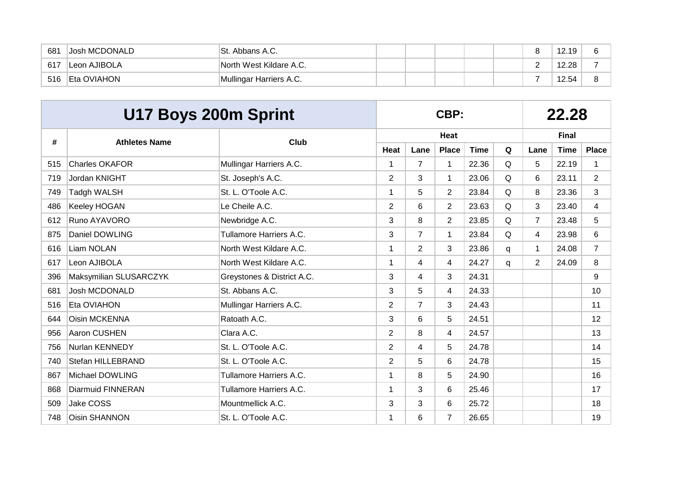| 681 | Josh MCDONALD | St. Abbans A.C.         |  |  |  | $\sqrt{2}$<br>.19<br>. |  |
|-----|---------------|-------------------------|--|--|--|------------------------|--|
| 617 | Leon AJIBOLA  | North West Kildare A.C. |  |  |  | 12.28                  |  |
| 516 | Eta OVIAHON   | Mullingar Harriers A.C. |  |  |  | 12.54                  |  |

|     | U17 Boys 200m Sprint   |                            |                |                | CBP:           |             |   |                | 22.28        |                |
|-----|------------------------|----------------------------|----------------|----------------|----------------|-------------|---|----------------|--------------|----------------|
|     | <b>Athletes Name</b>   | <b>Club</b>                |                |                | Heat           |             |   |                | <b>Final</b> |                |
| #   |                        |                            | <b>Heat</b>    | Lane           | <b>Place</b>   | <b>Time</b> | Q | Lane           | <b>Time</b>  | <b>Place</b>   |
| 515 | <b>Charles OKAFOR</b>  | Mullingar Harriers A.C.    | 1              | $\overline{7}$ | 1              | 22.36       | Q | 5              | 22.19        | $\mathbf{1}$   |
| 719 | <b>Jordan KNIGHT</b>   | St. Joseph's A.C.          | $\overline{2}$ | 3              | 1              | 23.06       | Q | 6              | 23.11        | 2              |
| 749 | Tadgh WALSH            | St. L. O'Toole A.C.        | 1              | 5              | $\overline{2}$ | 23.84       | Q | 8              | 23.36        | 3              |
| 486 | <b>Keeley HOGAN</b>    | Le Cheile A.C.             | $\overline{2}$ | 6              | $\overline{2}$ | 23.63       | Q | 3              | 23.40        | 4              |
| 612 | Runo AYAVORO           | Newbridge A.C.             | 3              | 8              | $\overline{2}$ | 23.85       | Q | $\overline{7}$ | 23.48        | 5              |
| 875 | Daniel DOWLING         | Tullamore Harriers A.C.    | 3              | $\overline{7}$ | 1              | 23.84       | Q | 4              | 23.98        | 6              |
| 616 | Liam NOLAN             | North West Kildare A.C.    | 1              | 2              | 3              | 23.86       | q | 1              | 24.08        | $\overline{7}$ |
| 617 | Leon AJIBOLA           | North West Kildare A.C.    | 1              | 4              | 4              | 24.27       | q | $\overline{2}$ | 24.09        | 8              |
| 396 | Maksymilian SLUSARCZYK | Greystones & District A.C. | 3              | 4              | 3              | 24.31       |   |                |              | 9              |
| 681 | <b>Josh MCDONALD</b>   | St. Abbans A.C.            | 3              | 5              | 4              | 24.33       |   |                |              | 10             |
| 516 | Eta OVIAHON            | Mullingar Harriers A.C.    | $\overline{2}$ | $\overline{7}$ | 3              | 24.43       |   |                |              | 11             |
| 644 | Oisin MCKENNA          | Ratoath A.C.               | 3              | 6              | 5              | 24.51       |   |                |              | 12             |
| 956 | Aaron CUSHEN           | Clara A.C.                 | $\overline{2}$ | 8              | 4              | 24.57       |   |                |              | 13             |
| 756 | Nurlan KENNEDY         | St. L. O'Toole A.C.        | $\overline{2}$ | 4              | 5              | 24.78       |   |                |              | 14             |
| 740 | Stefan HILLEBRAND      | St. L. O'Toole A.C.        | $\overline{2}$ | 5              | 6              | 24.78       |   |                |              | 15             |
| 867 | Michael DOWLING        | Tullamore Harriers A.C.    | 1              | 8              | 5              | 24.90       |   |                |              | 16             |
| 868 | Diarmuid FINNERAN      | Tullamore Harriers A.C.    |                | 3              | 6              | 25.46       |   |                |              | 17             |
| 509 | Jake COSS              | Mountmellick A.C.          | 3              | 3              | 6              | 25.72       |   |                |              | 18             |
| 748 | <b>Oisin SHANNON</b>   | St. L. O'Toole A.C.        |                | 6              | $\overline{7}$ | 26.65       |   |                |              | 19             |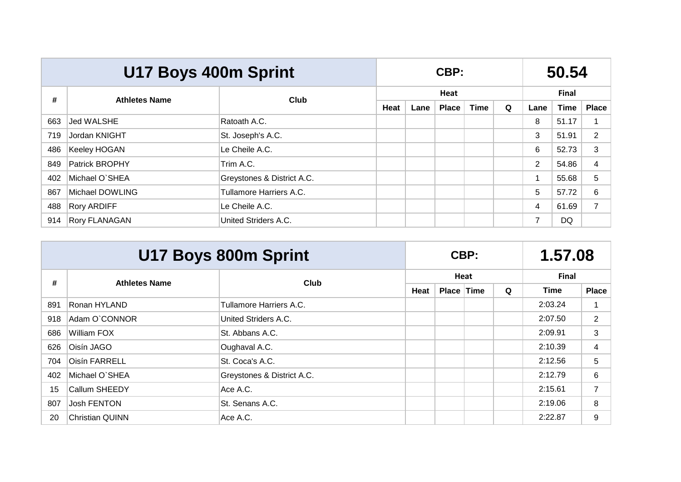|     | U17 Boys 400m Sprint  |                            |      |      | CBP:         |      |   |                | 50.54        |              |
|-----|-----------------------|----------------------------|------|------|--------------|------|---|----------------|--------------|--------------|
| #   | <b>Athletes Name</b>  | <b>Club</b>                |      |      | Heat         |      |   |                | <b>Final</b> |              |
|     |                       |                            | Heat | Lane | <b>Place</b> | Time | Q | Lane           | <b>Time</b>  | <b>Place</b> |
| 663 | Jed WALSHE            | Ratoath A.C.               |      |      |              |      |   | 8              | 51.17        |              |
| 719 | Jordan KNIGHT         | St. Joseph's A.C.          |      |      |              |      |   | 3              | 51.91        | 2            |
| 486 | <b>Keeley HOGAN</b>   | Le Cheile A.C.             |      |      |              |      |   | 6              | 52.73        | 3            |
| 849 | <b>Patrick BROPHY</b> | Trim A.C.                  |      |      |              |      |   | $\overline{2}$ | 54.86        | 4            |
| 402 | Michael O'SHEA        | Greystones & District A.C. |      |      |              |      |   |                | 55.68        | 5            |
| 867 | Michael DOWLING       | Tullamore Harriers A.C.    |      |      |              |      |   | 5              | 57.72        | 6            |
| 488 | <b>Rory ARDIFF</b>    | Le Cheile A.C.             |      |      |              |      |   | 4              | 61.69        |              |
| 914 | <b>Rory FLANAGAN</b>  | United Striders A.C.       |      |      |              |      |   | 7              | DQ           |              |

|     |                        | U17 Boys 800m Sprint       |      |            | CBP: | 1.57.08 |              |                |
|-----|------------------------|----------------------------|------|------------|------|---------|--------------|----------------|
| #   | <b>Athletes Name</b>   | Club                       |      |            | Heat |         | <b>Final</b> |                |
|     |                        |                            | Heat | Place Time |      | Q       | Time         | <b>Place</b>   |
| 891 | Ronan HYLAND           | Tullamore Harriers A.C.    |      |            |      |         | 2:03.24      |                |
| 918 | Adam O`CONNOR          | United Striders A.C.       |      |            |      |         | 2:07.50      | $\overline{2}$ |
| 686 | William FOX            | St. Abbans A.C.            |      |            |      |         | 2:09.91      | 3              |
| 626 | Oisín JAGO             | Oughaval A.C.              |      |            |      |         | 2:10.39      | 4              |
| 704 | <b>Oisín FARRELL</b>   | St. Coca's A.C.            |      |            |      |         | 2:12.56      | 5              |
| 402 | Michael O'SHEA         | Greystones & District A.C. |      |            |      |         | 2:12.79      | 6              |
| 15  | <b>Callum SHEEDY</b>   | Ace A.C.                   |      |            |      |         | 2:15.61      | $\overline{7}$ |
| 807 | Josh FENTON            | St. Senans A.C.            |      |            |      |         | 2:19.06      | 8              |
| 20  | <b>Christian QUINN</b> | Ace A.C.                   |      |            |      |         | 2:22.87      | 9              |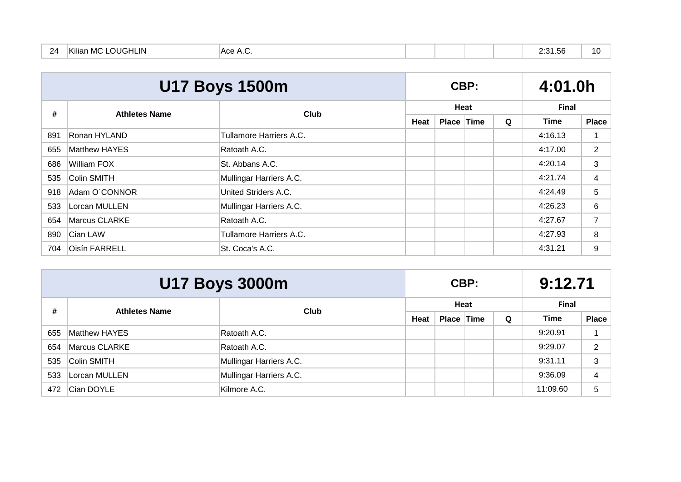| 24<br><u>_</u> | 122<br>OUGHLIN<br>$\sim$<br>. IVII<br>Allidi . | $\mathbf{A}$<br>$-11.1$ |  |  |  |  | $ -$<br>ארי ב<br>DC. I<br>--- |  |
|----------------|------------------------------------------------|-------------------------|--|--|--|--|-------------------------------|--|
|----------------|------------------------------------------------|-------------------------|--|--|--|--|-------------------------------|--|

|     |                      | <b>U17 Boys 1500m</b>   |      |                   | CBP: |   | 4:01.0h      |                |
|-----|----------------------|-------------------------|------|-------------------|------|---|--------------|----------------|
| #   | <b>Athletes Name</b> | <b>Club</b>             |      |                   | Heat |   | <b>Final</b> |                |
|     |                      |                         | Heat | <b>Place Time</b> |      | Q | Time         | <b>Place</b>   |
| 891 | Ronan HYLAND         | Tullamore Harriers A.C. |      |                   |      |   | 4:16.13      |                |
| 655 | <b>Matthew HAYES</b> | Ratoath A.C.            |      |                   |      |   | 4:17.00      | $\overline{2}$ |
| 686 | William FOX          | St. Abbans A.C.         |      |                   |      |   | 4:20.14      | 3              |
| 535 | Colin SMITH          | Mullingar Harriers A.C. |      |                   |      |   | 4:21.74      | 4              |
| 918 | Adam O'CONNOR        | United Striders A.C.    |      |                   |      |   | 4:24.49      | 5              |
| 533 | Lorcan MULLEN        | Mullingar Harriers A.C. |      |                   |      |   | 4:26.23      | 6              |
| 654 | Marcus CLARKE        | Ratoath A.C.            |      |                   |      |   | 4:27.67      | 7              |
| 890 | Cian LAW             | Tullamore Harriers A.C. |      |                   |      |   | 4:27.93      | 8              |
| 704 | <b>Oisín FARRELL</b> | St. Coca's A.C.         |      |                   |      |   | 4:31.21      | 9              |

|     |                      | <b>U17 Boys 3000m</b>   |                                       |  | CBP: |   | 9:12.71     |                |  |  |       |  |
|-----|----------------------|-------------------------|---------------------------------------|--|------|---|-------------|----------------|--|--|-------|--|
| #   | <b>Athletes Name</b> | Club                    | Heat<br>Heat<br>Time<br>$Place \vert$ |  |      |   |             |                |  |  | Final |  |
|     |                      |                         |                                       |  |      | Q | <b>Time</b> | <b>Place</b>   |  |  |       |  |
| 655 | Matthew HAYES        | Ratoath A.C.            |                                       |  |      |   | 9:20.91     |                |  |  |       |  |
| 654 | Marcus CLARKE        | Ratoath A.C.            |                                       |  |      |   | 9:29.07     | $\overline{2}$ |  |  |       |  |
| 535 | Colin SMITH          | Mullingar Harriers A.C. |                                       |  |      |   | 9:31.11     | 3              |  |  |       |  |
| 533 | Lorcan MULLEN        | Mullingar Harriers A.C. |                                       |  |      |   | 9:36.09     | 4              |  |  |       |  |
| 472 | Cian DOYLE           | Kilmore A.C.            |                                       |  |      |   | 11:09.60    | 5              |  |  |       |  |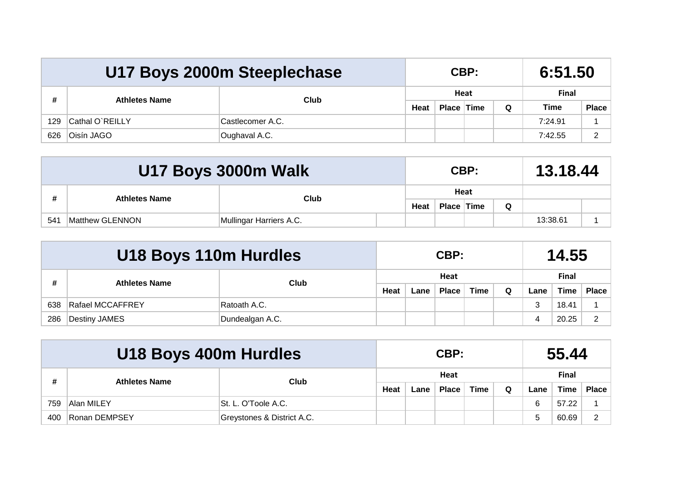|     |                      | U17 Boys 2000m Steeplechase |      |            | CBP: |          | 6:51.50      |              |
|-----|----------------------|-----------------------------|------|------------|------|----------|--------------|--------------|
| #   | <b>Athletes Name</b> | <b>Club</b>                 |      |            | Heat |          | <b>Final</b> |              |
|     |                      |                             | Heat | Place Time |      | $\Omega$ | <b>Time</b>  | <b>Place</b> |
| 129 | Cathal O'REILLY      | Castlecomer A.C.            |      |            |      |          | 7:24.91      |              |
| 626 | Oisín JAGO           | Oughaval A.C.               |      |            |      |          | 7:42.55      | - 2          |

|     |                      | U17 Boys 3000m Walk     |      |            | CBP: |   | 13.18.44 |  |
|-----|----------------------|-------------------------|------|------------|------|---|----------|--|
|     | <b>Athletes Name</b> | Club                    |      |            | Heat |   |          |  |
|     |                      |                         | Heat | Place Time |      | Q |          |  |
| 541 | Matthew GLENNON      | Mullingar Harriers A.C. |      |            |      |   | 13:38.61 |  |

|     | U18 Boys 110m Hurdles |                 |                                                     |  | CBP: |  |              | 14.55 |       |              |
|-----|-----------------------|-----------------|-----------------------------------------------------|--|------|--|--------------|-------|-------|--------------|
| #   | <b>Athletes Name</b>  | Club            | Heat<br><b>Time</b><br><b>Place</b><br>Heat<br>∟ane |  |      |  | <b>Final</b> |       |       |              |
|     |                       |                 |                                                     |  |      |  | Q            | Lane  | Time  | <b>Place</b> |
| 638 | Rafael MCCAFFREY      | Ratoath A.C.    |                                                     |  |      |  |              | 3     | 18.41 |              |
| 286 | Destiny JAMES         | Dundealgan A.C. |                                                     |  |      |  |              |       | 20.25 | ົ            |

|     | U18 Boys 400m Hurdles |                            |      |      | CBP:         |             |   | 55.44 |              |           |  |  |
|-----|-----------------------|----------------------------|------|------|--------------|-------------|---|-------|--------------|-----------|--|--|
| #   | <b>Athletes Name</b>  | Club                       | Heat |      |              |             |   |       | <b>Final</b> |           |  |  |
|     |                       |                            | Heat | ∟ane | <b>Place</b> | <b>Time</b> | Q | Lane  | Time         | Place $ $ |  |  |
| 759 | Alan MILEY            | St. L. O'Toole A.C.        |      |      |              |             |   |       | 57.22        |           |  |  |
| 400 | Ronan DEMPSEY         | Greystones & District A.C. |      |      |              |             |   |       | 60.69        |           |  |  |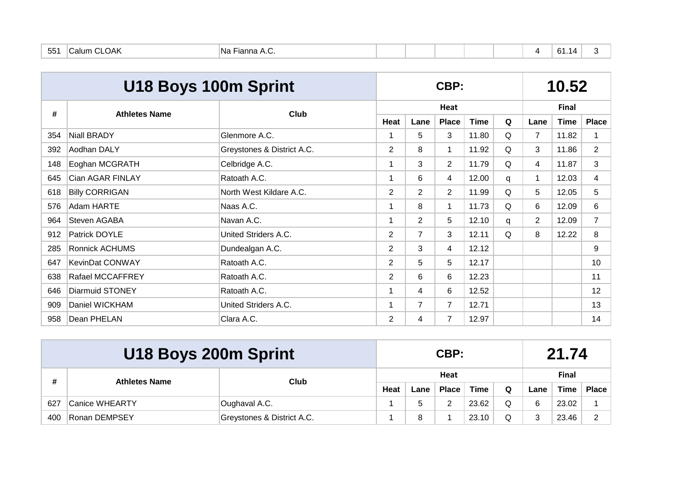| 55 <sup>1</sup> | חווורי<br>$\mathbf{v}$<br>$\sim$ | Na<br> |  |  |  |  |  |  | $\sim$<br>.<br>$\sim$<br>◡ |  |
|-----------------|----------------------------------|--------|--|--|--|--|--|--|----------------------------|--|
|-----------------|----------------------------------|--------|--|--|--|--|--|--|----------------------------|--|

|     | U18 Boys 100m Sprint    |                            |                |                | CBP:           |             | 10.52 |                |       |                |  |
|-----|-------------------------|----------------------------|----------------|----------------|----------------|-------------|-------|----------------|-------|----------------|--|
| #   | <b>Athletes Name</b>    | <b>Club</b>                |                |                | Heat           |             |       | <b>Final</b>   |       |                |  |
|     |                         |                            | Heat           | Lane           | <b>Place</b>   | <b>Time</b> | Q     | Lane           | Time  | <b>Place</b>   |  |
| 354 | <b>Niall BRADY</b>      | Glenmore A.C.              |                | 5              | 3              | 11.80       | Q     | $\overline{7}$ | 11.82 | 1              |  |
| 392 | Aodhan DALY             | Greystones & District A.C. | $\overline{2}$ | 8              | 1              | 11.92       | Q     | 3              | 11.86 | $\overline{2}$ |  |
| 148 | Eoghan MCGRATH          | Celbridge A.C.             |                | 3              | $\overline{2}$ | 11.79       | Q     | 4              | 11.87 | 3              |  |
| 645 | Cian AGAR FINLAY        | Ratoath A.C.               | 1              | 6              | 4              | 12.00       | q     | $\mathbf 1$    | 12.03 | 4              |  |
| 618 | <b>Billy CORRIGAN</b>   | North West Kildare A.C.    | 2              | $\overline{2}$ | $\overline{2}$ | 11.99       | Q     | 5              | 12.05 | 5              |  |
| 576 | Adam HARTE              | Naas A.C.                  |                | 8              | 1.             | 11.73       | Q     | 6              | 12.09 | 6              |  |
| 964 | Steven AGABA            | Navan A.C.                 |                | $\overline{2}$ | 5.             | 12.10       | q     | $\mathbf{2}$   | 12.09 | 7              |  |
| 912 | Patrick DOYLE           | United Striders A.C.       | $\overline{2}$ | $\overline{7}$ | 3              | 12.11       | Q     | 8              | 12.22 | 8              |  |
| 285 | <b>Ronnick ACHUMS</b>   | Dundealgan A.C.            | $\overline{2}$ | 3              | 4              | 12.12       |       |                |       | 9              |  |
| 647 | KevinDat CONWAY         | Ratoath A.C.               | $\overline{2}$ | 5              | 5              | 12.17       |       |                |       | 10             |  |
| 638 | <b>Rafael MCCAFFREY</b> | Ratoath A.C.               | 2              | 6              | 6              | 12.23       |       |                |       | 11             |  |
| 646 | <b>Diarmuid STONEY</b>  | Ratoath A.C.               |                | 4              | 6              | 12.52       |       |                |       | 12             |  |
| 909 | Daniel WICKHAM          | United Striders A.C.       |                | $\overline{7}$ | $\overline{7}$ | 12.71       |       |                |       | 13             |  |
| 958 | Dean PHELAN             | Clara A.C.                 | $\overline{2}$ | 4              | $\overline{7}$ | 12.97       |       |                |       | 14             |  |

|     | U18 Boys 200m Sprint |                            |      |      | CBP:         |             | 21.74 |       |       |              |  |
|-----|----------------------|----------------------------|------|------|--------------|-------------|-------|-------|-------|--------------|--|
| #   | <b>Athletes Name</b> | Club                       |      |      | Heat         |             |       | Final |       |              |  |
|     |                      |                            | Heat | ∟ane | <b>Place</b> | <b>Time</b> | Q     | Lane  | Time  | <b>Place</b> |  |
| 627 | Canice WHEARTY       | Oughaval A.C.              |      | b    | ⌒            | 23.62       | Q     | 6     | 23.02 |              |  |
| 400 | Ronan DEMPSEY        | Greystones & District A.C. |      | 8    |              | 23.10       |       |       | 23.46 | ົ            |  |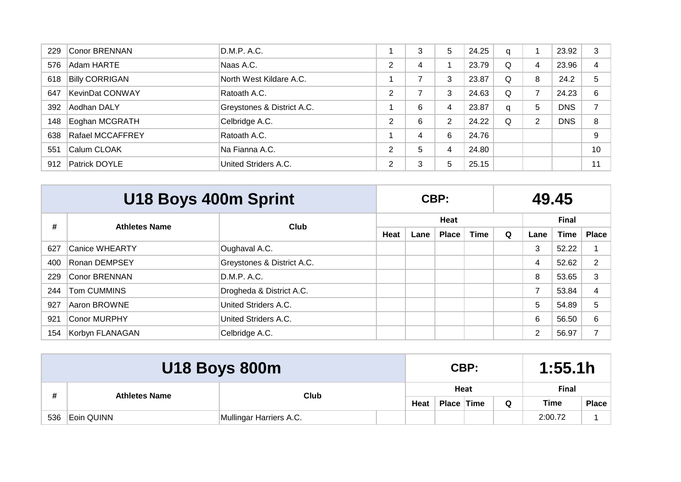| 229 | Conor BRENNAN           | D.M.P. A.C.                |        | 3 | 5 | 24.25 | q |   | 23.92      | 3  |
|-----|-------------------------|----------------------------|--------|---|---|-------|---|---|------------|----|
| 576 | <b>Adam HARTE</b>       | Naas A.C.                  | C<br>∠ | 4 |   | 23.79 | Q | 4 | 23.96      |    |
| 618 | <b>Billy CORRIGAN</b>   | North West Kildare A.C.    |        |   | 3 | 23.87 | Q | 8 | 24.2       | 5  |
| 647 | <b>KevinDat CONWAY</b>  | Ratoath A.C.               | 2      |   | 3 | 24.63 | Q | ⇁ | 24.23      | 6  |
| 392 | Aodhan DALY             | Greystones & District A.C. |        | 6 | 4 | 23.87 | q | 5 | <b>DNS</b> |    |
| 148 | Eoghan MCGRATH          | Celbridge A.C.             | 2      | 6 | 2 | 24.22 | Q | 2 | <b>DNS</b> | 8  |
| 638 | <b>Rafael MCCAFFREY</b> | Ratoath A.C.               |        | 4 | 6 | 24.76 |   |   |            | 9  |
| 551 | Calum CLOAK             | Na Fianna A.C.             | C      | 5 | 4 | 24.80 |   |   |            | 10 |
| 912 | <b>Patrick DOYLE</b>    | United Striders A.C.       | 2      | 3 | 5 | 25.15 |   |   |            | 11 |

|     | U18 Boys 400m Sprint  |                            |      |      | CBP:         |             | 49.45 |                |             |              |  |  |
|-----|-----------------------|----------------------------|------|------|--------------|-------------|-------|----------------|-------------|--------------|--|--|
| #   | <b>Athletes Name</b>  | <b>Club</b>                |      |      | Heat         |             |       | <b>Final</b>   |             |              |  |  |
|     |                       |                            | Heat | Lane | <b>Place</b> | <b>Time</b> | Q     | Lane           | <b>Time</b> | <b>Place</b> |  |  |
| 627 | <b>Canice WHEARTY</b> | Oughaval A.C.              |      |      |              |             |       | 3              | 52.22       |              |  |  |
| 400 | Ronan DEMPSEY         | Greystones & District A.C. |      |      |              |             |       | $\overline{4}$ | 52.62       | 2            |  |  |
| 229 | Conor BRENNAN         | D.M.P. A.C.                |      |      |              |             |       | 8              | 53.65       | 3            |  |  |
| 244 | Tom CUMMINS           | Drogheda & District A.C.   |      |      |              |             |       | 7              | 53.84       | 4            |  |  |
| 927 | Aaron BROWNE          | United Striders A.C.       |      |      |              |             |       | 5              | 54.89       | 5            |  |  |
| 921 | Conor MURPHY          | United Striders A.C.       |      |      |              |             |       | 6              | 56.50       | 6            |  |  |
| 154 | Korbyn FLANAGAN       | Celbridge A.C.             |      |      |              |             |       | 2              | 56.97       | 7            |  |  |

|     |                              | <b>U18 Boys 800m</b>    |      |            |  | CBP: | 1:55.1h     |              |  |
|-----|------------------------------|-------------------------|------|------------|--|------|-------------|--------------|--|
|     | Club<br><b>Athletes Name</b> |                         |      |            |  | Heat |             | <b>Final</b> |  |
|     |                              |                         | Heat | Place Time |  | Q    | <b>Time</b> | <b>Place</b> |  |
| 536 | Eoin QUINN                   | Mullingar Harriers A.C. |      |            |  |      |             | 2:00.72      |  |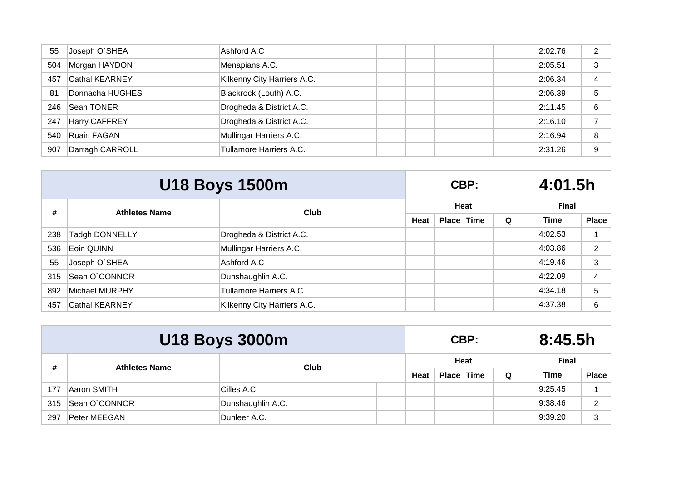| 55  | Joseph O'SHEA         | Ashford A.C                 |  |  | 2:02.76 | ົ |
|-----|-----------------------|-----------------------------|--|--|---------|---|
| 504 | Morgan HAYDON         | Menapians A.C.              |  |  | 2:05.51 | 3 |
| 457 | <b>Cathal KEARNEY</b> | Kilkenny City Harriers A.C. |  |  | 2:06.34 |   |
| 81  | Donnacha HUGHES       | Blackrock (Louth) A.C.      |  |  | 2:06.39 | 5 |
| 246 | Sean TONER            | Drogheda & District A.C.    |  |  | 2:11.45 | 6 |
| 247 | Harry CAFFREY         | Drogheda & District A.C.    |  |  | 2:16.10 |   |
| 540 | Ruairi FAGAN          | Mullingar Harriers A.C.     |  |  | 2:16.94 | 8 |
| 907 | Darragh CARROLL       | Tullamore Harriers A.C.     |  |  | 2:31.26 | 9 |

|     | <b>U18 Boys 1500m</b> |                             |      |            | CBP: |              | 4:01.5h |              |  |
|-----|-----------------------|-----------------------------|------|------------|------|--------------|---------|--------------|--|
| #   | <b>Athletes Name</b>  | Club                        |      |            | Heat | <b>Final</b> |         |              |  |
|     |                       |                             | Heat | Place Time |      | Q            | Time    | <b>Place</b> |  |
| 238 | <b>Tadgh DONNELLY</b> | Drogheda & District A.C.    |      |            |      |              | 4:02.53 |              |  |
| 536 | Eoin QUINN            | Mullingar Harriers A.C.     |      |            |      |              | 4:03.86 | 2            |  |
| 55  | Joseph O'SHEA         | Ashford A.C                 |      |            |      |              | 4:19.46 | 3            |  |
| 315 | Sean O`CONNOR         | Dunshaughlin A.C.           |      |            |      |              | 4:22.09 | 4            |  |
| 892 | Michael MURPHY        | Tullamore Harriers A.C.     |      |            |      |              | 4:34.18 | 5            |  |
| 457 | <b>Cathal KEARNEY</b> | Kilkenny City Harriers A.C. |      |            |      |              | 4:37.38 | 6            |  |

|     |                              | <b>U18 Boys 3000m</b> |      |            |  | CBP: | 8:45.5h |              |   |  |
|-----|------------------------------|-----------------------|------|------------|--|------|---------|--------------|---|--|
|     |                              |                       |      |            |  | Heat |         | <b>Final</b> |   |  |
| #   | Club<br><b>Athletes Name</b> |                       | Heat | Place Time |  | Q    | Time    | <b>Place</b> |   |  |
| 177 | Aaron SMITH                  | Cilles A.C.           |      |            |  |      |         | 9:25.45      |   |  |
| 315 | Sean O'CONNOR                | Dunshaughlin A.C.     |      |            |  |      |         | 9:38.46      | 2 |  |
| 297 | Peter MEEGAN                 | Dunleer A.C.          |      |            |  |      |         | 9:39.20      | 3 |  |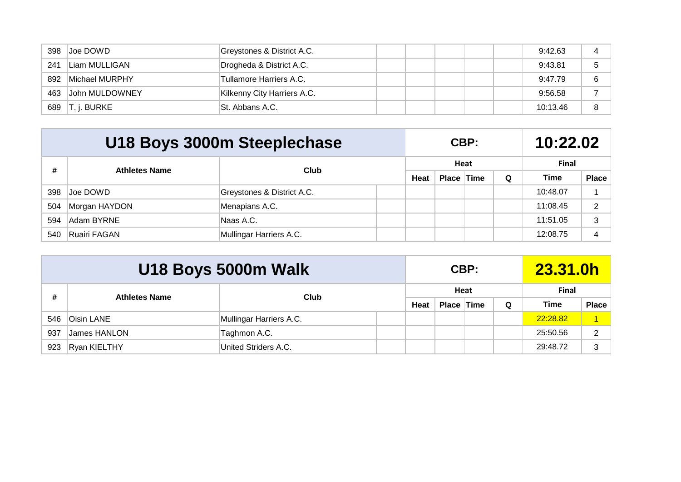| 398 | Joe DOWD       | Greystones & District A.C.  |  |  | 9:42.63  |  |
|-----|----------------|-----------------------------|--|--|----------|--|
| 241 | Liam MULLIGAN  | Drogheda & District A.C.    |  |  | 9:43.81  |  |
| 892 | Michael MURPHY | Tullamore Harriers A.C.     |  |  | 9:47.79  |  |
| 463 | John MULDOWNEY | Kilkenny City Harriers A.C. |  |  | 9:56.58  |  |
| 689 | T. j. BURKE    | ISt. Abbans A.C.            |  |  | 10:13.46 |  |

|     |                                   | U18 Boys 3000m Steeplechase |      |            | CBP: |   | 10:22.02     |               |  |
|-----|-----------------------------------|-----------------------------|------|------------|------|---|--------------|---------------|--|
|     | #<br>Club<br><b>Athletes Name</b> |                             |      |            | Heat |   | <b>Final</b> |               |  |
|     |                                   |                             | Heat | Place Time |      | Q | Time         | <b>Place</b>  |  |
| 398 | Joe DOWD                          | Greystones & District A.C.  |      |            |      |   | 10:48.07     |               |  |
| 504 | Morgan HAYDON                     | Menapians A.C.              |      |            |      |   | 11:08.45     | $\mathcal{P}$ |  |
| 594 | Adam BYRNE                        | Naas A.C.                   |      |            |      |   | 11:51.05     | 3             |  |
| 540 | Ruairi FAGAN                      | Mullingar Harriers A.C.     |      |            |      |   | 12:08.75     | 4             |  |

|     |                                   | U18 Boys 5000m Walk     |      |            |  | CBP: | 23.31.0h    |              |              |  |  |
|-----|-----------------------------------|-------------------------|------|------------|--|------|-------------|--------------|--------------|--|--|
|     | #<br><b>Athletes Name</b><br>Club |                         |      |            |  |      | Heat        |              | <b>Final</b> |  |  |
|     |                                   |                         | Heat | Place Time |  | Q    | <b>Time</b> | <b>Place</b> |              |  |  |
| 546 | Oisin LANE                        | Mullingar Harriers A.C. |      |            |  |      |             | 22:28.82     |              |  |  |
| 937 | James HANLON                      | Taghmon A.C.            |      |            |  |      |             | 25:50.56     | 2            |  |  |
| 923 | <b>Ryan KIELTHY</b>               | United Striders A.C.    |      |            |  |      |             | 29:48.72     | 3            |  |  |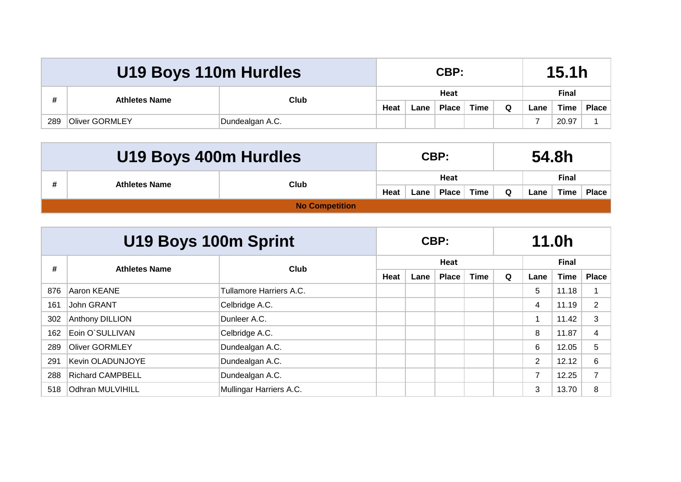|     | U19 Boys 110m Hurdles |                 |             |      | CBP:         |      | 15.1h        |      |       |              |
|-----|-----------------------|-----------------|-------------|------|--------------|------|--------------|------|-------|--------------|
| #   | <b>Athletes Name</b>  | Club            |             |      | Heat         |      | <b>Final</b> |      |       |              |
|     |                       |                 | <b>Heat</b> | ∟ane | <b>Place</b> | Time | $\Omega$     | Lane | Time  | <b>Place</b> |
| 289 | <b>Oliver GORMLEY</b> | Dundealgan A.C. |             |      |              |      |              |      | 20.97 |              |

| U19 Boys 400m Hurdles        |                       |      |      | CBP:         |             | 54.8h        |      |      |              |  |  |
|------------------------------|-----------------------|------|------|--------------|-------------|--------------|------|------|--------------|--|--|
|                              |                       | Heat |      |              |             | <b>Final</b> |      |      |              |  |  |
| Club<br><b>Athletes Name</b> |                       | Heat | Lane | <b>Place</b> | <b>Time</b> | $\Omega$     | Lane | Time | <b>Place</b> |  |  |
|                              | <b>No Competition</b> |      |      |              |             |              |      |      |              |  |  |

|     | U19 Boys 100m Sprint    |                         |      |      | CBP:         |             | 11.0h |                |             |                |  |  |
|-----|-------------------------|-------------------------|------|------|--------------|-------------|-------|----------------|-------------|----------------|--|--|
| #   | <b>Athletes Name</b>    | Club                    |      |      | Heat         |             |       | <b>Final</b>   |             |                |  |  |
|     |                         |                         | Heat | Lane | <b>Place</b> | <b>Time</b> | Q     | Lane           | <b>Time</b> | <b>Place</b>   |  |  |
| 876 | Aaron KEANE             | Tullamore Harriers A.C. |      |      |              |             |       | 5              | 11.18       |                |  |  |
| 161 | John GRANT              | Celbridge A.C.          |      |      |              |             |       | 4              | 11.19       | 2              |  |  |
| 302 | Anthony DILLION         | Dunleer A.C.            |      |      |              |             |       |                | 11.42       | 3              |  |  |
| 162 | Eoin O'SULLIVAN         | Celbridge A.C.          |      |      |              |             |       | 8              | 11.87       | 4              |  |  |
| 289 | <b>Oliver GORMLEY</b>   | Dundealgan A.C.         |      |      |              |             |       | 6              | 12.05       | 5              |  |  |
| 291 | <b>Kevin OLADUNJOYE</b> | Dundealgan A.C.         |      |      |              |             |       | $\overline{2}$ | 12.12       | 6              |  |  |
| 288 | <b>Richard CAMPBELL</b> | Dundealgan A.C.         |      |      |              |             |       | 7              | 12.25       | $\overline{ }$ |  |  |
| 518 | Odhran MULVIHILL        | Mullingar Harriers A.C. |      |      |              |             |       | 3              | 13.70       | 8              |  |  |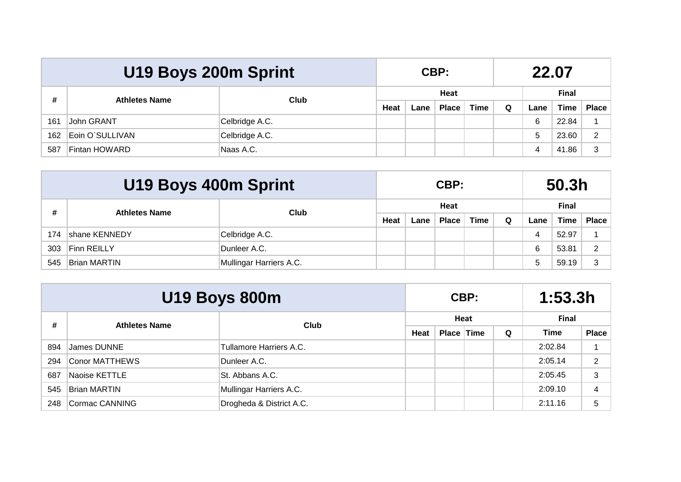|     | U19 Boys 200m Sprint |                |      |      | CBP:         | 22.07       |   |      |              |              |  |
|-----|----------------------|----------------|------|------|--------------|-------------|---|------|--------------|--------------|--|
| #   | <b>Athletes Name</b> | <b>Club</b>    | Heat |      |              |             |   |      | <b>Final</b> |              |  |
|     |                      |                | Heat | Lane | <b>Place</b> | <b>Time</b> | Q | Lane | <b>Time</b>  | <b>Place</b> |  |
| 161 | John GRANT           | Celbridge A.C. |      |      |              |             |   | 6    | 22.84        |              |  |
| 162 | Eoin O'SULLIVAN      | Celbridge A.C. |      |      |              |             |   | 5    | 23.60        |              |  |
| 587 | Fintan HOWARD        | Naas A.C.      |      |      |              |             |   | 4    | 41.86        |              |  |

|     | U19 Boys 400m Sprint         |                         |      |              |             | 50.3h |      |             |              |   |
|-----|------------------------------|-------------------------|------|--------------|-------------|-------|------|-------------|--------------|---|
|     |                              |                         | Heat |              |             |       |      |             | <b>Final</b> |   |
| #   | <b>Athletes Name</b><br>Club | Heat                    | Lane | <b>Place</b> | <b>Time</b> | Q     | Lane | <b>Time</b> | Place        |   |
| 174 | shane KENNEDY                | Celbridge A.C.          |      |              |             |       |      |             | 52.97        |   |
| 303 | <b>Finn REILLY</b>           | Dunleer A.C.            |      |              |             |       |      | 6           | 53.81        |   |
| 545 | Brian MARTIN                 | Mullingar Harriers A.C. |      |              |             |       |      | 5           | 59.19        | 2 |

|     |                      | <b>U19 Boys 800m</b>     |                         |      | CBP:        |              | 1:53.3h      |                |  |
|-----|----------------------|--------------------------|-------------------------|------|-------------|--------------|--------------|----------------|--|
| #   | <b>Athletes Name</b> | Club                     |                         | Heat |             |              | <b>Final</b> |                |  |
|     |                      |                          | Place Time<br>Q<br>Heat |      | <b>Time</b> | <b>Place</b> |              |                |  |
| 894 | James DUNNE          | Tullamore Harriers A.C.  |                         |      |             |              | 2:02.84      |                |  |
| 294 | Conor MATTHEWS       | Dunleer A.C.             |                         |      |             |              | 2:05.14      | 2              |  |
| 687 | Naoise KETTLE        | St. Abbans A.C.          |                         |      |             |              | 2:05.45      | 3              |  |
| 545 | <b>Brian MARTIN</b>  | Mullingar Harriers A.C.  |                         |      |             |              | 2:09.10      | $\overline{4}$ |  |
| 248 | Cormac CANNING       | Drogheda & District A.C. |                         |      |             |              | 2:11.16      | 5              |  |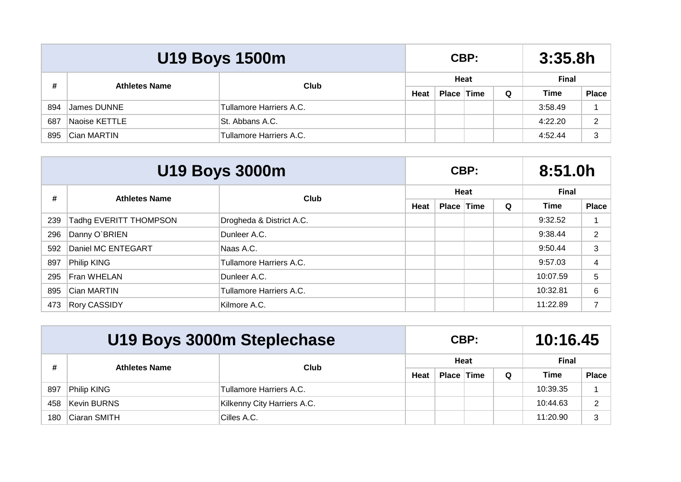|     |                      | <b>U19 Boys 1500m</b>   |      |            | CBP: |   | 3:35.8h      |              |  |
|-----|----------------------|-------------------------|------|------------|------|---|--------------|--------------|--|
| #   | <b>Athletes Name</b> | Club                    | Heat |            |      |   | <b>Final</b> |              |  |
|     |                      |                         |      | Place Time |      | Q | <b>Time</b>  | <b>Place</b> |  |
| 894 | James DUNNE          | Tullamore Harriers A.C. |      |            |      |   | 3:58.49      |              |  |
| 687 | Naoise KETTLE        | St. Abbans A.C.         |      |            |      |   | 4:22.20      | 2            |  |
| 895 | Cian MARTIN          | Tullamore Harriers A.C. |      |            |      |   | 4:52.44      | 3            |  |

|     | <b>U19 Boys 3000m</b>  |                          |                         |  | CBP:        | 8:51.0h      |                |  |
|-----|------------------------|--------------------------|-------------------------|--|-------------|--------------|----------------|--|
| #   | <b>Athletes Name</b>   | Club                     |                         |  | Heat        | <b>Final</b> |                |  |
|     |                        |                          | Q<br>Heat<br>Place Time |  | <b>Time</b> | <b>Place</b> |                |  |
| 239 | Tadhg EVERITT THOMPSON | Drogheda & District A.C. |                         |  |             | 9:32.52      |                |  |
| 296 | Danny O'BRIEN          | Dunleer A.C.             |                         |  |             | 9:38.44      | $\overline{2}$ |  |
| 592 | Daniel MC ENTEGART     | Naas A.C.                |                         |  |             | 9:50.44      | 3              |  |
| 897 | <b>Philip KING</b>     | Tullamore Harriers A.C.  |                         |  |             | 9:57.03      | 4              |  |
| 295 | Fran WHELAN            | Dunleer A.C.             |                         |  |             | 10:07.59     | 5              |  |
| 895 | Cian MARTIN            | Tullamore Harriers A.C.  |                         |  |             | 10:32.81     | 6              |  |
| 473 | <b>Rory CASSIDY</b>    | Kilmore A.C.             |                         |  |             | 11:22.89     | $\overline{ }$ |  |

|     |                      | U19 Boys 3000m Steplechase  |      |                   | CBP: |   | 10:16.45     |              |  |
|-----|----------------------|-----------------------------|------|-------------------|------|---|--------------|--------------|--|
| #   |                      | Club                        | Heat |                   |      |   | <b>Final</b> |              |  |
|     | <b>Athletes Name</b> |                             |      | <b>Place Time</b> |      | Q | Time         | <b>Place</b> |  |
| 897 | Philip KING          | Tullamore Harriers A.C.     |      |                   |      |   | 10:39.35     |              |  |
| 458 | Kevin BURNS          | Kilkenny City Harriers A.C. |      |                   |      |   | 10:44.63     | C            |  |
| 180 | Ciaran SMITH         | Cilles A.C.                 |      |                   |      |   | 11:20.90     | 3            |  |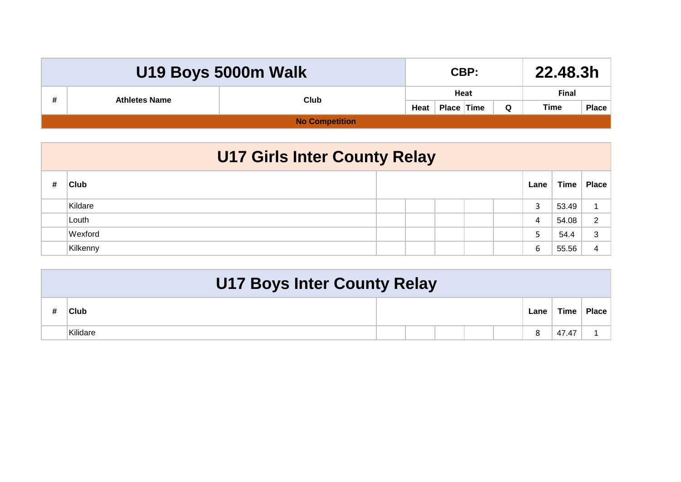|                      | U19 Boys 5000m Walk   |      | CBP:       | 22.48.3h     |      |       |
|----------------------|-----------------------|------|------------|--------------|------|-------|
| <b>Athletes Name</b> | Club                  |      | Heat       | <b>Final</b> |      |       |
|                      |                       | Heat | Place Time | Q            | Time | Place |
|                      | <b>No Competition</b> |      |            |              |      |       |

| <b>U17 Girls Inter County Relay</b> |  |  |  |  |  |      |       |              |  |  |  |
|-------------------------------------|--|--|--|--|--|------|-------|--------------|--|--|--|
| Club                                |  |  |  |  |  | Lane | Time  | <b>Place</b> |  |  |  |
| Kildare                             |  |  |  |  |  | 3    | 53.49 |              |  |  |  |
| Louth                               |  |  |  |  |  | 4    | 54.08 | っ            |  |  |  |
| Wexford                             |  |  |  |  |  |      | 54.4  | 3            |  |  |  |
| Kilkenny                            |  |  |  |  |  | 6    | 55.56 | 4            |  |  |  |

| U17 Boys Inter County Relay |  |  |  |  |  |      |             |              |  |  |
|-----------------------------|--|--|--|--|--|------|-------------|--------------|--|--|
| Club                        |  |  |  |  |  | Lane | <b>Time</b> | <b>Place</b> |  |  |
| Kilidare                    |  |  |  |  |  | 8    | 47.47       |              |  |  |